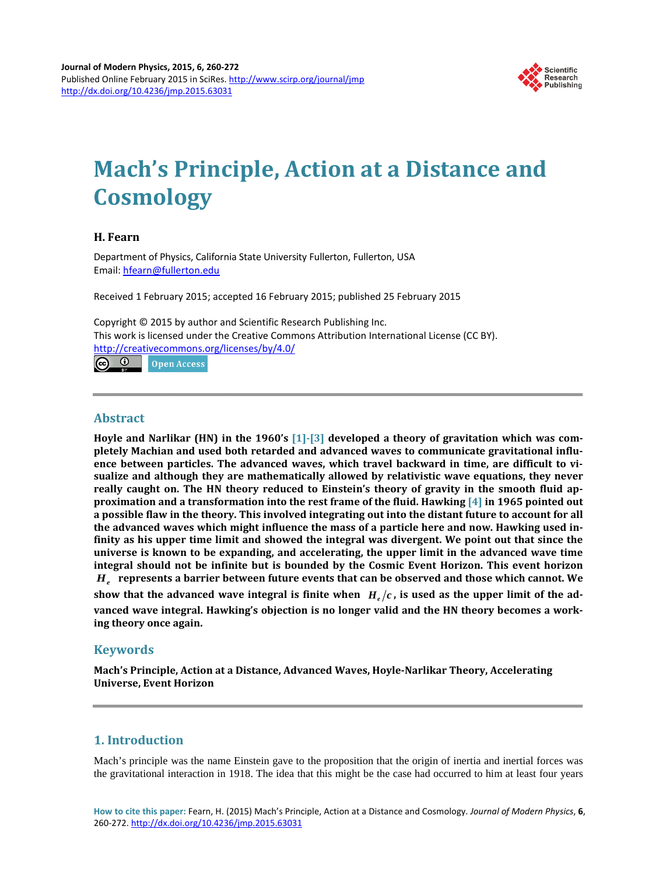

# **Mach's Principle, Action at a Distance and Cosmology**

# **H. Fearn**

Department of Physics, California State University Fullerton, Fullerton, USA Email: [hfearn@fullerton.edu](mailto:hfearn@fullerton.edu)

Received 1 February 2015; accepted 16 February 2015; published 25 February 2015

Copyright © 2015 by author and Scientific Research Publishing Inc. This work is licensed under the Creative Commons Attribution International License (CC BY). <http://creativecommons.org/licenses/by/4.0/> <u>ര 0</u> Open Access

# **Abstract**

**Hoyle and Narlikar (HN) in the 1960's [\[1\]](#page-11-0)[-\[3\]](#page-11-1) developed a theory of gravitation which was completely Machian and used both retarded and advanced waves to communicate gravitational influence between particles. The advanced waves, which travel backward in time, are difficult to visualize and although they are mathematically allowed by relativistic wave equations, they never really caught on. The HN theory reduced to Einstein's theory of gravity in the smooth fluid approximation and a transformation into the rest frame of the fluid. Hawking [\[4\]](#page-11-2) in 1965 pointed out a possible flaw in the theory. This involved integrating out into the distant future to account for all the advanced waves which might influence the mass of a particle here and now. Hawking used infinity as his upper time limit and showed the integral was divergent. We point out that since the universe is known to be expanding, and accelerating, the upper limit in the advanced wave time integral should not be infinite but is bounded by the Cosmic Event Horizon. This event horizon**  *He* **represents a barrier between future events that can be observed and those which cannot. We**  show that the advanced wave integral is finite when  $H_e/c$ , is used as the upper limit of the ad**vanced wave integral. Hawking's objection is no longer valid and the HN theory becomes a working theory once again.**

# **Keywords**

**Mach's Principle, Action at a Distance, Advanced Waves, Hoyle-Narlikar Theory, Accelerating Universe, Event Horizon**

# **1. Introduction**

Mach's principle was the name Einstein gave to the proposition that the origin of inertia and inertial forces was the gravitational interaction in 1918. The idea that this might be the case had occurred to him at least four years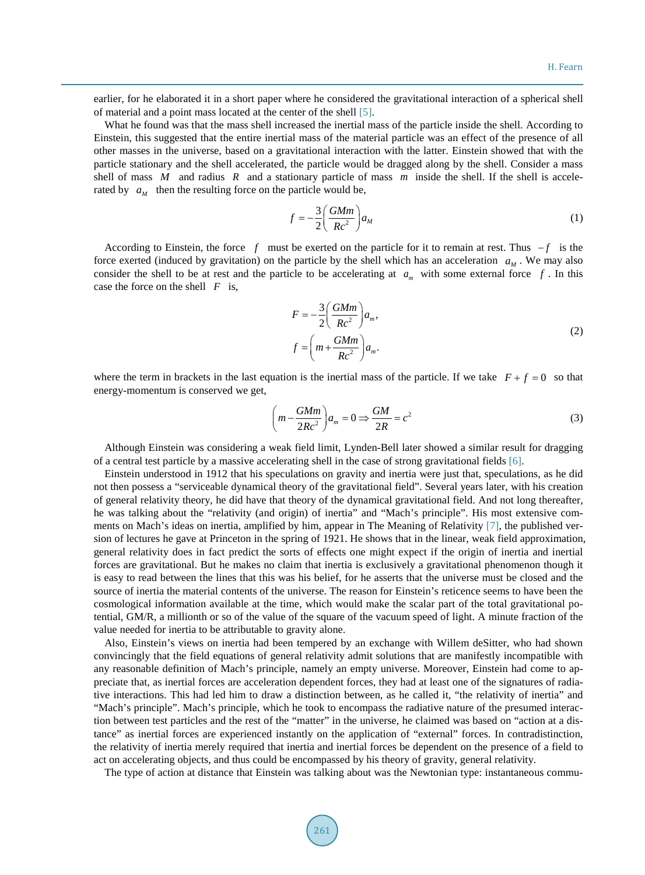earlier, for he elaborated it in a short paper where he considered the gravitational interaction of a spherical shell of material and a point mass located at the center of the shell [\[5\].](#page-11-3)

What he found was that the mass shell increased the inertial mass of the particle inside the shell. According to Einstein, this suggested that the entire inertial mass of the material particle was an effect of the presence of all other masses in the universe, based on a gravitational interaction with the latter. Einstein showed that with the particle stationary and the shell accelerated, the particle would be dragged along by the shell. Consider a mass shell of mass *M* and radius *R* and a stationary particle of mass *m* inside the shell. If the shell is accelerated by  $a_{\mu}$  then the resulting force on the particle would be,

$$
f = -\frac{3}{2} \left( \frac{GMm}{Rc^2} \right) a_M \tag{1}
$$

According to Einstein, the force *f* must be exerted on the particle for it to remain at rest. Thus − *f* is the force exerted (induced by gravitation) on the particle by the shell which has an acceleration  $a<sub>M</sub>$ . We may also consider the shell to be at rest and the particle to be accelerating at  $a_m$  with some external force  $f$ . In this case the force on the shell *F* is,

$$
F = -\frac{3}{2} \left( \frac{GMm}{Rc^2} \right) a_m,
$$
  

$$
f = \left( m + \frac{GMm}{Rc^2} \right) a_m.
$$
 (2)

where the term in brackets in the last equation is the inertial mass of the particle. If we take  $F + f = 0$  so that energy-momentum is conserved we get,

$$
\left(m - \frac{GMm}{2Rc^2}\right)a_m = 0 \Rightarrow \frac{GM}{2R} = c^2\tag{3}
$$

Although Einstein was considering a weak field limit, Lynden-Bell later showed a similar result for dragging of a central test particle by a massive accelerating shell in the case of strong gravitational fields [\[6\].](#page-11-4)

Einstein understood in 1912 that his speculations on gravity and inertia were just that, speculations, as he did not then possess a "serviceable dynamical theory of the gravitational field". Several years later, with his creation of general relativity theory, he did have that theory of the dynamical gravitational field. And not long thereafter, he was talking about the "relativity (and origin) of inertia" and "Mach's principle". His most extensive comments on Mach's ideas on inertia, amplified by him, appear in The Meaning of Relativity [\[7\],](#page-11-5) the published version of lectures he gave at Princeton in the spring of 1921. He shows that in the linear, weak field approximation, general relativity does in fact predict the sorts of effects one might expect if the origin of inertia and inertial forces are gravitational. But he makes no claim that inertia is exclusively a gravitational phenomenon though it is easy to read between the lines that this was his belief, for he asserts that the universe must be closed and the source of inertia the material contents of the universe. The reason for Einstein's reticence seems to have been the cosmological information available at the time, which would make the scalar part of the total gravitational potential, GM/R, a millionth or so of the value of the square of the vacuum speed of light. A minute fraction of the value needed for inertia to be attributable to gravity alone.

Also, Einstein's views on inertia had been tempered by an exchange with Willem deSitter, who had shown convincingly that the field equations of general relativity admit solutions that are manifestly incompatible with any reasonable definition of Mach's principle, namely an empty universe. Moreover, Einstein had come to appreciate that, as inertial forces are acceleration dependent forces, they had at least one of the signatures of radiative interactions. This had led him to draw a distinction between, as he called it, "the relativity of inertia" and "Mach's principle". Mach's principle, which he took to encompass the radiative nature of the presumed interaction between test particles and the rest of the "matter" in the universe, he claimed was based on "action at a distance" as inertial forces are experienced instantly on the application of "external" forces. In contradistinction, the relativity of inertia merely required that inertia and inertial forces be dependent on the presence of a field to act on accelerating objects, and thus could be encompassed by his theory of gravity, general relativity.

The type of action at distance that Einstein was talking about was the Newtonian type: instantaneous commu-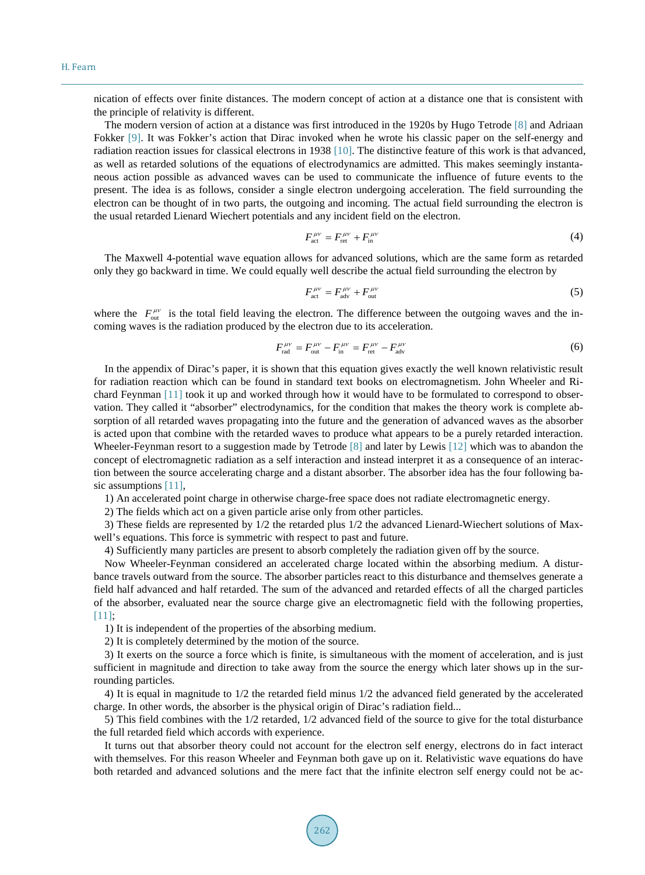nication of effects over finite distances. The modern concept of action at a distance one that is consistent with the principle of relativity is different.

The modern version of action at a distance was first introduced in the 1920s by Hugo Tetrode [\[8\]](#page-11-6) and Adriaan Fokker [\[9\].](#page-11-7) It was Fokker's action that Dirac invoked when he wrote his classic paper on the self-energy and radiation reaction issues for classical electrons in 1938 [\[10\].](#page-11-8) The distinctive feature of this work is that advanced, as well as retarded solutions of the equations of electrodynamics are admitted. This makes seemingly instantaneous action possible as advanced waves can be used to communicate the influence of future events to the present. The idea is as follows, consider a single electron undergoing acceleration. The field surrounding the electron can be thought of in two parts, the outgoing and incoming. The actual field surrounding the electron is the usual retarded Lienard Wiechert potentials and any incident field on the electron.

$$
F_{\text{act}}^{\mu\nu} = F_{\text{ret}}^{\mu\nu} + F_{\text{in}}^{\mu\nu} \tag{4}
$$

The Maxwell 4-potential wave equation allows for advanced solutions, which are the same form as retarded only they go backward in time. We could equally well describe the actual field surrounding the electron by

$$
F_{\text{act}}^{\mu\nu} = F_{\text{adv}}^{\mu\nu} + F_{\text{out}}^{\mu\nu} \tag{5}
$$

where the  $F_{\text{out}}^{\mu\nu}$  is the total field leaving the electron. The difference between the outgoing waves and the incoming waves is the radiation produced by the electron due to its acceleration.

$$
F_{\text{rad}}^{\mu\nu} = F_{\text{out}}^{\mu\nu} - F_{\text{in}}^{\mu\nu} = F_{\text{ret}}^{\mu\nu} - F_{\text{adv}}^{\mu\nu} \tag{6}
$$

In the appendix of Dirac's paper, it is shown that this equation gives exactly the well known relativistic result for radiation reaction which can be found in standard text books on electromagnetism. John Wheeler and Richard Feynman [\[11\]](#page-11-9) took it up and worked through how it would have to be formulated to correspond to observation. They called it "absorber" electrodynamics, for the condition that makes the theory work is complete absorption of all retarded waves propagating into the future and the generation of advanced waves as the absorber is acted upon that combine with the retarded waves to produce what appears to be a purely retarded interaction. Wheeler-Feynman resort to a suggestion made by Tetrode [\[8\]](#page-11-6) and later by Lewis [\[12\]](#page-12-0) which was to abandon the concept of electromagnetic radiation as a self interaction and instead interpret it as a consequence of an interaction between the source accelerating charge and a distant absorber. The absorber idea has the four following basic assumptions [\[11\],](#page-11-9)

1) An accelerated point charge in otherwise charge-free space does not radiate electromagnetic energy.

2) The fields which act on a given particle arise only from other particles.

3) These fields are represented by 1/2 the retarded plus 1/2 the advanced Lienard-Wiechert solutions of Maxwell's equations. This force is symmetric with respect to past and future.

4) Sufficiently many particles are present to absorb completely the radiation given off by the source.

Now Wheeler-Feynman considered an accelerated charge located within the absorbing medium. A disturbance travels outward from the source. The absorber particles react to this disturbance and themselves generate a field half advanced and half retarded. The sum of the advanced and retarded effects of all the charged particles of the absorber, evaluated near the source charge give an electromagnetic field with the following properties, [\[11\];](#page-11-9)

1) It is independent of the properties of the absorbing medium.

2) It is completely determined by the motion of the source.

3) It exerts on the source a force which is finite, is simultaneous with the moment of acceleration, and is just sufficient in magnitude and direction to take away from the source the energy which later shows up in the surrounding particles.

4) It is equal in magnitude to 1/2 the retarded field minus 1/2 the advanced field generated by the accelerated charge. In other words, the absorber is the physical origin of Dirac's radiation field...

5) This field combines with the 1/2 retarded, 1/2 advanced field of the source to give for the total disturbance the full retarded field which accords with experience.

It turns out that absorber theory could not account for the electron self energy, electrons do in fact interact with themselves. For this reason Wheeler and Feynman both gave up on it. Relativistic wave equations do have both retarded and advanced solutions and the mere fact that the infinite electron self energy could not be ac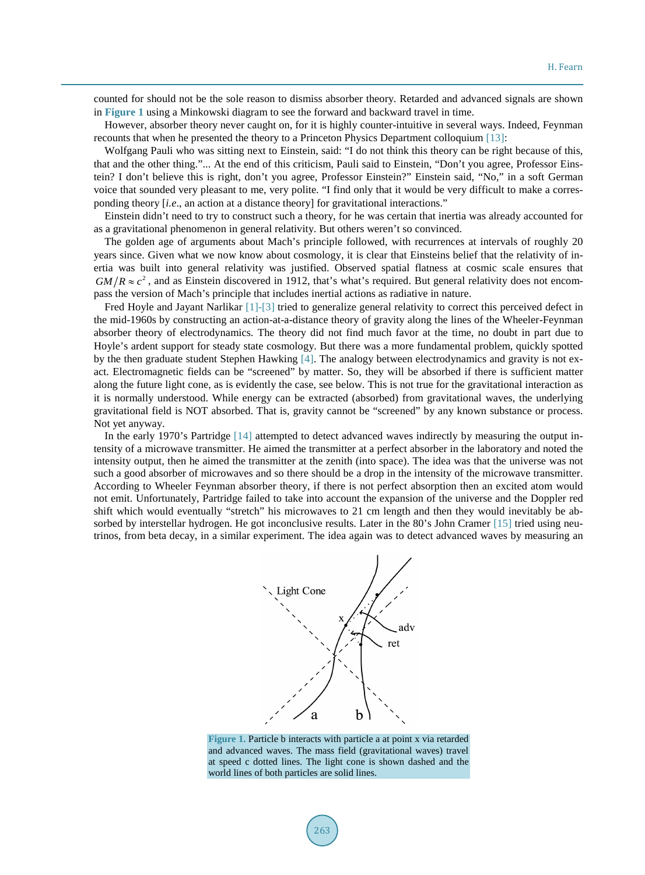counted for should not be the sole reason to dismiss absorber theory. Retarded and advanced signals are shown in **[Figure 1](#page-3-0)** using a Minkowski diagram to see the forward and backward travel in time.

However, absorber theory never caught on, for it is highly counter-intuitive in several ways. Indeed, Feynman recounts that when he presented the theory to a Princeton Physics Department colloquium [\[13\]:](#page-12-1)

Wolfgang Pauli who was sitting next to Einstein, said: "I do not think this theory can be right because of this, that and the other thing."... At the end of this criticism, Pauli said to Einstein, "Don't you agree, Professor Einstein? I don't believe this is right, don't you agree, Professor Einstein?" Einstein said, "No," in a soft German voice that sounded very pleasant to me, very polite. "I find only that it would be very difficult to make a corresponding theory [*i.e*., an action at a distance theory] for gravitational interactions."

Einstein didn't need to try to construct such a theory, for he was certain that inertia was already accounted for as a gravitational phenomenon in general relativity. But others weren't so convinced.

The golden age of arguments about Mach's principle followed, with recurrences at intervals of roughly 20 years since. Given what we now know about cosmology, it is clear that Einsteins belief that the relativity of inertia was built into general relativity was justified. Observed spatial flatness at cosmic scale ensures that  $GM/R \approx c^2$ , and as Einstein discovered in 1912, that's what's required. But general relativity does not encompass the version of Mach's principle that includes inertial actions as radiative in nature.

Fred Hoyle and Jayant Narlikar [\[1\]-](#page-11-0)[\[3\]](#page-11-1) tried to generalize general relativity to correct this perceived defect in the mid-1960s by constructing an action-at-a-distance theory of gravity along the lines of the Wheeler-Feynman absorber theory of electrodynamics. The theory did not find much favor at the time, no doubt in part due to Hoyle's ardent support for steady state cosmology. But there was a more fundamental problem, quickly spotted by the then graduate student Stephen Hawking [\[4\].](#page-11-2) The analogy between electrodynamics and gravity is not exact. Electromagnetic fields can be "screened" by matter. So, they will be absorbed if there is sufficient matter along the future light cone, as is evidently the case, see below. This is not true for the gravitational interaction as it is normally understood. While energy can be extracted (absorbed) from gravitational waves, the underlying gravitational field is NOT absorbed. That is, gravity cannot be "screened" by any known substance or process. Not yet anyway.

<span id="page-3-0"></span>In the early 1970's Partridge [\[14\]](#page-12-2) attempted to detect advanced waves indirectly by measuring the output intensity of a microwave transmitter. He aimed the transmitter at a perfect absorber in the laboratory and noted the intensity output, then he aimed the transmitter at the zenith (into space). The idea was that the universe was not such a good absorber of microwaves and so there should be a drop in the intensity of the microwave transmitter. According to Wheeler Feynman absorber theory, if there is not perfect absorption then an excited atom would not emit. Unfortunately, Partridge failed to take into account the expansion of the universe and the Doppler red shift which would eventually "stretch" his microwaves to 21 cm length and then they would inevitably be ab-sorbed by interstellar hydrogen. He got inconclusive results. Later in the 80's John Cramer [\[15\]](#page-12-3) tried using neutrinos, from beta decay, in a similar experiment. The idea again was to detect advanced waves by measuring an



**Figure 1.** Particle b interacts with particle a at point x via retarded and advanced waves. The mass field (gravitational waves) travel at speed c dotted lines. The light cone is shown dashed and the world lines of both particles are solid lines.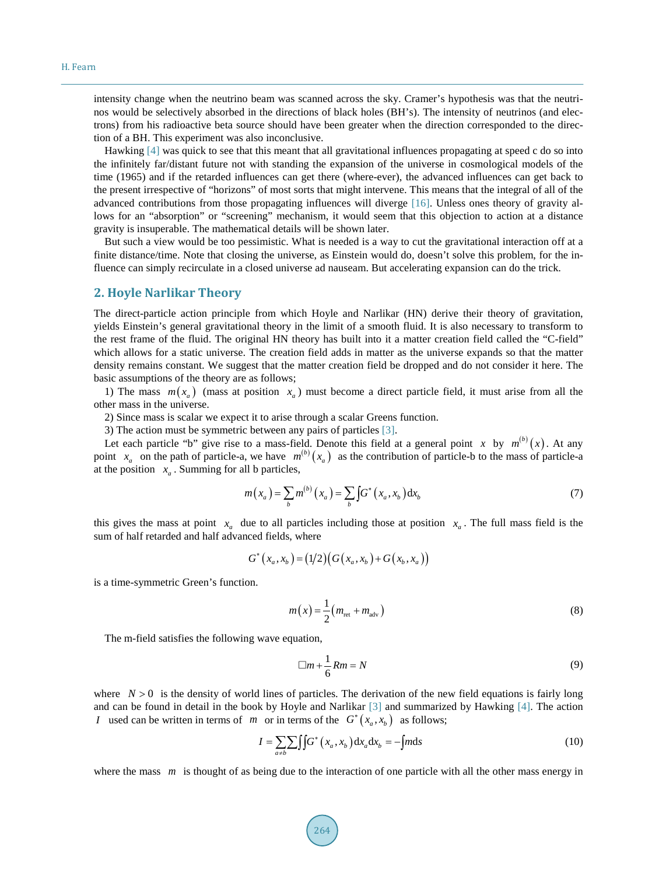intensity change when the neutrino beam was scanned across the sky. Cramer's hypothesis was that the neutrinos would be selectively absorbed in the directions of black holes (BH's). The intensity of neutrinos (and electrons) from his radioactive beta source should have been greater when the direction corresponded to the direction of a BH. This experiment was also inconclusive.

Hawking [\[4\]](#page-11-2) was quick to see that this meant that all gravitational influences propagating at speed c do so into the infinitely far/distant future not with standing the expansion of the universe in cosmological models of the time (1965) and if the retarded influences can get there (where-ever), the advanced influences can get back to the present irrespective of "horizons" of most sorts that might intervene. This means that the integral of all of the advanced contributions from those propagating influences will diverge [\[16\].](#page-12-4) Unless ones theory of gravity allows for an "absorption" or "screening" mechanism, it would seem that this objection to action at a distance gravity is insuperable. The mathematical details will be shown later.

But such a view would be too pessimistic. What is needed is a way to cut the gravitational interaction off at a finite distance/time. Note that closing the universe, as Einstein would do, doesn't solve this problem, for the influence can simply recirculate in a closed universe ad nauseam. But accelerating expansion can do the trick.

# **2. Hoyle Narlikar Theory**

The direct-particle action principle from which Hoyle and Narlikar (HN) derive their theory of gravitation, yields Einstein's general gravitational theory in the limit of a smooth fluid. It is also necessary to transform to the rest frame of the fluid. The original HN theory has built into it a matter creation field called the "C-field" which allows for a static universe. The creation field adds in matter as the universe expands so that the matter density remains constant. We suggest that the matter creation field be dropped and do not consider it here. The basic assumptions of the theory are as follows;

1) The mass  $m(x_a)$  (mass at position  $x_a$ ) must become a direct particle field, it must arise from all the other mass in the universe.

2) Since mass is scalar we expect it to arise through a scalar Greens function.

3) The action must be symmetric between any pairs of particles [\[3\].](#page-11-1)

Let each particle "b" give rise to a mass-field. Denote this field at a general point *x* by  $m^{(b)}(x)$ . At any point  $x_a$  on the path of particle-a, we have  $m^{(b)}(x_a)$  as the contribution of particle-b to the mass of particle-a at the position  $x_a$ . Summing for all b particles,

$$
m(x_a) = \sum_b m^{(b)}(x_a) = \sum_b \int G^*(x_a, x_b) dx_b
$$
 (7)

this gives the mass at point  $x_a$  due to all particles including those at position  $x_a$ . The full mass field is the sum of half retarded and half advanced fields, where

$$
G^{*}(x_{a}, x_{b}) = (1/2)(G(x_{a}, x_{b}) + G(x_{b}, x_{a}))
$$

is a time-symmetric Green's function.

$$
m(x) = \frac{1}{2}(m_{\text{ret}} + m_{\text{adv}})
$$
\n(8)

The m-field satisfies the following wave equation,

$$
\Box m + \frac{1}{6} Rm = N \tag{9}
$$

where  $N > 0$  is the density of world lines of particles. The derivation of the new field equations is fairly long and can be found in detail in the book by Hoyle and Narlikar [\[3\]](#page-11-1) and summarized by Hawking [\[4\].](#page-11-2) The action *I* used can be written in terms of *m* or in terms of the  $G^*(x_a, x_b)$  as follows;

$$
I = \sum_{a \neq b} \int \int G^*(x_a, x_b) dx_a dx_b = -\int m ds \tag{10}
$$

where the mass *m* is thought of as being due to the interaction of one particle with all the other mass energy in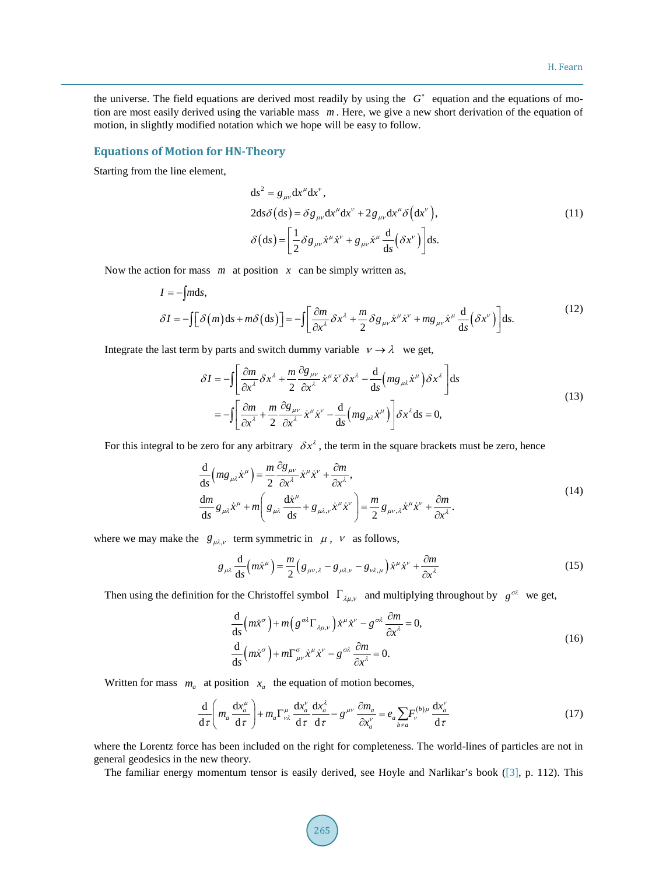the universe. The field equations are derived most readily by using the *G*<sup>∗</sup> equation and the equations of motion are most easily derived using the variable mass *m* . Here, we give a new short derivation of the equation of motion, in slightly modified notation which we hope will be easy to follow.

#### **Equations of Motion for HN-Theory**

Starting from the line element,

$$
ds^{2} = g_{\mu\nu} dx^{\mu} dx^{\nu},
$$
  
\n
$$
2ds \delta (ds) = \delta g_{\mu\nu} dx^{\mu} dx^{\nu} + 2g_{\mu\nu} dx^{\mu} \delta (dx^{\nu}),
$$
  
\n
$$
\delta (ds) = \left[ \frac{1}{2} \delta g_{\mu\nu} \dot{x}^{\mu} \dot{x}^{\nu} + g_{\mu\nu} \dot{x}^{\mu} \frac{d}{ds} (\delta x^{\nu}) \right] ds.
$$
\n(11)

Now the action for mass *m* at position *x* can be simply written as,

$$
I = -\int m\mathrm{d}s,
$$
  
\n
$$
\delta I = -\int \left[ \delta(m) \mathrm{d}s + m\delta(\mathrm{d}s) \right] = -\int \left[ \frac{\partial m}{\partial x^{\lambda}} \delta x^{\lambda} + \frac{m}{2} \delta g_{\mu\nu} \dot{x}^{\mu} \dot{x}^{\nu} + mg_{\mu\nu} \dot{x}^{\mu} \frac{\mathrm{d}}{\mathrm{d}s} (\delta x^{\nu}) \right] \mathrm{d}s.
$$
\n(12)

Integrate the last term by parts and switch dummy variable  $v \rightarrow \lambda$  we get,

$$
\delta I = -\int \left[ \frac{\partial m}{\partial x^{\lambda}} \delta x^{\lambda} + \frac{m}{2} \frac{\partial g_{\mu\nu}}{\partial x^{\lambda}} \dot{x}^{\mu} \dot{x}^{\nu} \delta x^{\lambda} - \frac{d}{ds} \left( m g_{\mu\lambda} \dot{x}^{\mu} \right) \delta x^{\lambda} \right] ds
$$
  
= 
$$
- \int \left[ \frac{\partial m}{\partial x^{\lambda}} + \frac{m}{2} \frac{\partial g_{\mu\nu}}{\partial x^{\lambda}} \dot{x}^{\mu} \dot{x}^{\nu} - \frac{d}{ds} \left( m g_{\mu\lambda} \dot{x}^{\mu} \right) \right] \delta x^{\lambda} ds = 0,
$$
 (13)

For this integral to be zero for any arbitrary  $\delta x^{\lambda}$ , the term in the square brackets must be zero, hence

$$
\frac{d}{ds}\left(mg_{\mu\lambda}\dot{x}^{\mu}\right) = \frac{m}{2}\frac{\partial g_{\mu\nu}}{\partial x^{\lambda}}\dot{x}^{\mu}\dot{x}^{\nu} + \frac{\partial m}{\partial x^{\lambda}},
$$
\n
$$
\frac{dm}{ds}g_{\mu\lambda}\dot{x}^{\mu} + m\left(g_{\mu\lambda}\frac{d\dot{x}^{\mu}}{ds} + g_{\mu\lambda,\nu}\dot{x}^{\mu}\dot{x}^{\nu}\right) = \frac{m}{2}g_{\mu\nu,\lambda}\dot{x}^{\mu}\dot{x}^{\nu} + \frac{\partial m}{\partial x^{\lambda}}.
$$
\n(14)

where we may make the  $g_{\mu\lambda,\nu}$  term symmetric in  $\mu$ ,  $\nu$  as follows,

$$
g_{\mu\lambda}\frac{\mathrm{d}}{\mathrm{d}s}\left(m\dot{x}^{\mu}\right) = \frac{m}{2}\left(g_{\mu\nu,\lambda} - g_{\mu\lambda,\nu} - g_{\nu\lambda,\mu}\right)\dot{x}^{\mu}\dot{x}^{\nu} + \frac{\partial m}{\partial x^{\lambda}}
$$
(15)

Then using the definition for the Christoffel symbol  $\Gamma_{\lambda\mu,\nu}$  and multiplying throughout by *g*<sup>σλ</sup> we get,

$$
\frac{d}{ds}\left(m\dot{x}^{\sigma}\right) + m\left(g^{\sigma\lambda}\Gamma_{\lambda\mu,\nu}\right)\dot{x}^{\mu}\dot{x}^{\nu} - g^{\sigma\lambda}\frac{\partial m}{\partial x^{\lambda}} = 0,\n\frac{d}{ds}\left(m\dot{x}^{\sigma}\right) + m\Gamma_{\mu\nu}^{\sigma}\dot{x}^{\mu}\dot{x}^{\nu} - g^{\sigma\lambda}\frac{\partial m}{\partial x^{\lambda}} = 0.
$$
\n(16)

Written for mass  $m_a$  at position  $x_a$  the equation of motion becomes,

$$
\frac{\mathrm{d}}{\mathrm{d}\tau}\left(m_a\,\frac{\mathrm{d}x_a^{\mu}}{\mathrm{d}\tau}\right) + m_a\Gamma^{\mu}_{\nu\lambda}\,\frac{\mathrm{d}x_a^{\nu}}{\mathrm{d}\tau}\,\frac{\mathrm{d}x_a^{\lambda}}{\mathrm{d}\tau} - g^{\mu\nu}\,\frac{\partial m_a}{\partial x_a^{\nu}} = e_a\sum_{b\neq a}F_{\nu}^{(b)\mu}\,\frac{\mathrm{d}x_a^{\nu}}{\mathrm{d}\tau} \tag{17}
$$

where the Lorentz force has been included on the right for completeness. The world-lines of particles are not in general geodesics in the new theory.

The familiar energy momentum tensor is easily derived, see Hoyle and Narlikar's book [\(\[3\],](#page-11-1) p. 112). This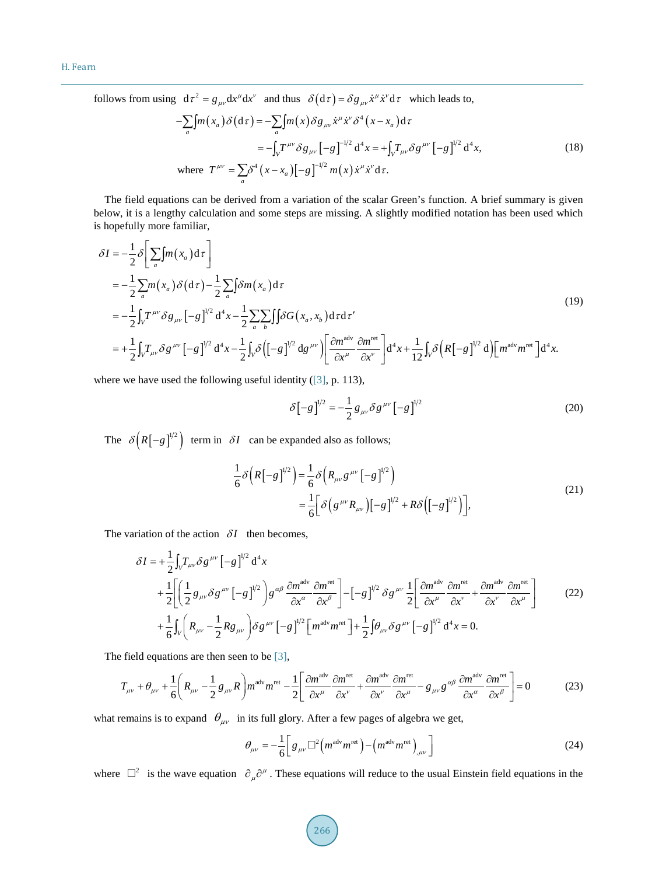follows from using  $d\tau^2 = g_{\mu\nu} dx^{\mu} dx^{\nu}$  and thus  $\delta(d\tau) = \delta g_{\mu\nu} \dot{x}^{\mu} \dot{x}^{\nu} d\tau$  which leads to,

$$
-\sum_{a} [m(x_{a}) \delta(\mathrm{d}\tau) = -\sum_{a} [m(x) \delta g_{\mu\nu} \dot{x}^{\mu} \dot{x}^{\nu} \delta^{4}(x - x_{a}) \mathrm{d}\tau \n= -\int_{V} T^{\mu\nu} \delta g_{\mu\nu} [-g]^{-1/2} \mathrm{d}^{4}x = +\int_{V} T_{\mu\nu} \delta g^{\mu\nu} [-g]^{1/2} \mathrm{d}^{4}x, \qquad (18)
$$
\nwhere 
$$
T^{\mu\nu} = \sum_{a} \delta^{4} (x - x_{a}) [-g]^{-1/2} m(x) \dot{x}^{\mu} \dot{x}^{\nu} \mathrm{d}\tau.
$$

The field equations can be derived from a variation of the scalar Green's function. A brief summary is given below, it is a lengthy calculation and some steps are missing. A slightly modified notation has been used which is hopefully more familiar,

$$
\delta I = -\frac{1}{2} \delta \left[ \sum_{a} m(x_{a}) d\tau \right]
$$
  
\n
$$
= -\frac{1}{2} \sum_{a} m(x_{a}) \delta (d\tau) - \frac{1}{2} \sum_{a} \delta m(x_{a}) d\tau
$$
  
\n
$$
= -\frac{1}{2} \int_{V} T^{\mu\nu} \delta g_{\mu\nu} [-g]^{1/2} d^{4}x - \frac{1}{2} \sum_{a} \sum_{b} \int \delta G(x_{a}, x_{b}) d\tau d\tau'
$$
  
\n
$$
= +\frac{1}{2} \int_{V} T_{\mu\nu} \delta g^{\mu\nu} [-g]^{1/2} d^{4}x - \frac{1}{2} \int_{V} \delta \left( [-g]^{1/2} dg^{\mu\nu} \right) \left[ \frac{\partial m^{adv}}{\partial x^{\mu}} \frac{\partial m^{ret}}{\partial x^{\nu}} \right] d^{4}x + \frac{1}{12} \int_{V} \delta \left( R[-g]^{1/2} d \right) \left[ m^{adv} m^{ret} \right] d^{4}x.
$$
\n(19)

where we have used the following useful identity [\(\[3\],](#page-11-1) p. 113),

$$
\delta[-g]^{1/2} = -\frac{1}{2} g_{\mu\nu} \delta g^{\mu\nu} [-g]^{1/2}
$$
 (20)

The  $\delta ( R [-g]^{1/2} )$  term in  $\delta I$  can be expanded also as follows;

$$
\frac{1}{6}\delta\left(R\left[-g\right]^{1/2}\right) = \frac{1}{6}\delta\left(R_{\mu\nu}g^{\mu\nu}\left[-g\right]^{1/2}\right) \n= \frac{1}{6}\left[\delta\left(g^{\mu\nu}R_{\mu\nu}\right)\left[-g\right]^{1/2} + R\delta\left(\left[-g\right]^{1/2}\right)\right],
$$
\n(21)

The variation of the action  $\delta I$  then becomes,

$$
\delta I = +\frac{1}{2} \int_{V} T_{\mu\nu} \delta g^{\mu\nu} \left[ -g \right]^{1/2} d^4 x + \frac{1}{2} \left[ \left( \frac{1}{2} g_{\mu\nu} \delta g^{\mu\nu} \left[ -g \right]^{1/2} \right) g^{\alpha\beta} \frac{\partial m^{adv}}{\partial x^{\alpha}} \frac{\partial m^{ret}}{\partial x^{\beta}} \right] - \left[ -g \right]^{1/2} \delta g^{\mu\nu} \frac{1}{2} \left[ \frac{\partial m^{adv}}{\partial x^{\mu}} \frac{\partial m^{ret}}{\partial x^{\nu}} + \frac{\partial m^{adv}}{\partial x^{\nu}} \frac{\partial m^{ret}}{\partial x^{\mu}} \right] + \frac{1}{6} \int_{V} \left( R_{\mu\nu} - \frac{1}{2} R g_{\mu\nu} \right) \delta g^{\mu\nu} \left[ -g \right]^{1/2} \left[ m^{adv} m^{ret} \right] + \frac{1}{2} \int_{V} \theta_{\mu\nu} \delta g^{\mu\nu} \left[ -g \right]^{1/2} d^4 x = 0.
$$
 (22)

The field equations are then seen to be [\[3\],](#page-11-1)

$$
T_{\mu\nu} + \theta_{\mu\nu} + \frac{1}{6} \left( R_{\mu\nu} - \frac{1}{2} g_{\mu\nu} R \right) m^{adv} m^{ret} - \frac{1}{2} \left[ \frac{\partial m^{adv}}{\partial x^{\mu}} \frac{\partial m^{ret}}{\partial x^{\nu}} + \frac{\partial m^{adv}}{\partial x^{\nu}} \frac{\partial m^{ret}}{\partial x^{\mu}} - g_{\mu\nu} g^{\alpha\beta} \frac{\partial m^{adv}}{\partial x^{\alpha}} \frac{\partial m^{ret}}{\partial x^{\beta}} \right] = 0
$$
 (23)

what remains is to expand  $\theta_{\mu\nu}$  in its full glory. After a few pages of algebra we get,

$$
\theta_{\mu\nu} = -\frac{1}{6} \left[ g_{\mu\nu} \Box^2 \left( m^{\text{adv}} m^{\text{ret}} \right) - \left( m^{\text{adv}} m^{\text{ret}} \right)_{,\mu\nu} \right]
$$
(24)

where  $\Box^2$  is the wave equation  $\partial_\mu \partial^\mu$ . These equations will reduce to the usual Einstein field equations in the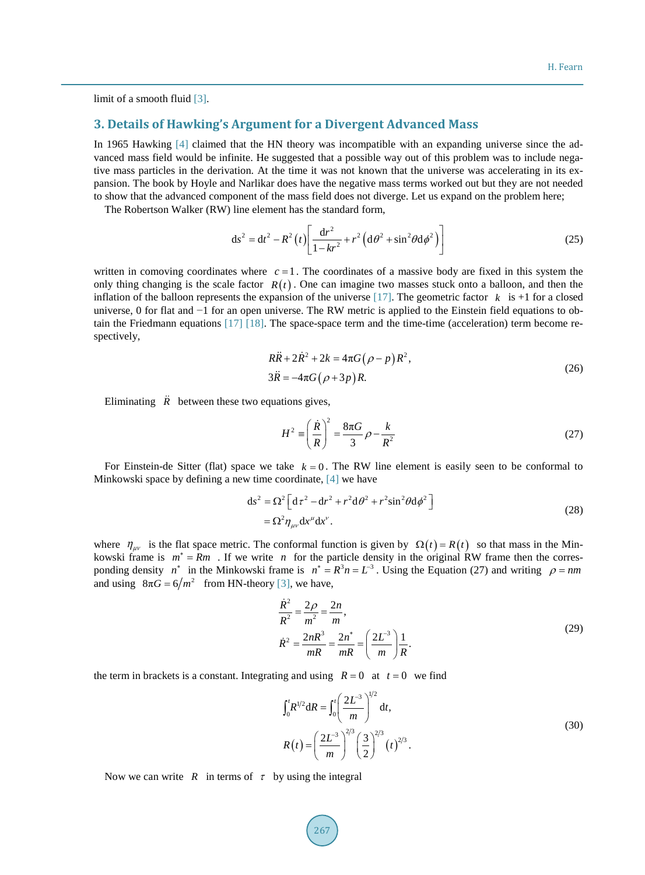limit of a smooth fluid [\[3\].](#page-11-1)

# **3. Details of Hawking's Argument for a Divergent Advanced Mass**

In 1965 Hawking [\[4\]](#page-11-2) claimed that the HN theory was incompatible with an expanding universe since the advanced mass field would be infinite. He suggested that a possible way out of this problem was to include negative mass particles in the derivation. At the time it was not known that the universe was accelerating in its expansion. The book by Hoyle and Narlikar does have the negative mass terms worked out but they are not needed to show that the advanced component of the mass field does not diverge. Let us expand on the problem here;

The Robertson Walker (RW) line element has the standard form,

$$
ds^{2} = dt^{2} - R^{2}(t) \left[ \frac{dr^{2}}{1 - kr^{2}} + r^{2} \left( d\theta^{2} + \sin^{2}\theta d\phi^{2} \right) \right]
$$
 (25)

written in comoving coordinates where  $c = 1$ . The coordinates of a massive body are fixed in this system the only thing changing is the scale factor  $R(t)$ . One can imagine two masses stuck onto a balloon, and then the inflation of the balloon represents the expansion of the universe  $[17]$ . The geometric factor  $k$  is  $+1$  for a closed universe, 0 for flat and −1 for an open universe. The RW metric is applied to the Einstein field equations to obtain the Friedmann equations [\[17\]](#page-12-5) [\[18\].](#page-12-6) The space-space term and the time-time (acceleration) term become respectively,

$$
R\ddot{R} + 2\dot{R}^2 + 2k = 4\pi G(\rho - p)R^2,
$$
  
\n
$$
3\ddot{R} = -4\pi G(\rho + 3p)R.
$$
\n(26)

Eliminating  $\ddot{R}$  between these two equations gives,

$$
H^2 \equiv \left(\frac{\dot{R}}{R}\right)^2 = \frac{8\pi G}{3} \rho - \frac{k}{R^2}
$$
 (27)

For Einstein-de Sitter (flat) space we take  $k = 0$ . The RW line element is easily seen to be conformal to Minkowski space by defining a new time coordinate, [\[4\]](#page-11-2) we have

$$
ds2 = \Omega2 \left[ d\tau2 - dr2 + r2 d\theta2 + r2 sin2 \theta d\phi2 \right]
$$
  
=  $\Omega2 \eta_{\mu\nu} dx^{\mu} dx^{\nu}$ . (28)

where  $\eta_{uv}$  is the flat space metric. The conformal function is given by  $\Omega(t) = R(t)$  so that mass in the Minkowski frame is  $m^* = Rm$ . If we write *n* for the particle density in the original RW frame then the corresponding density  $n^*$  in the Minkowski frame is  $n^* = R^3 n = L^{-3}$ . Using the Equation (27) and writing  $\rho = nm$ and using  $8\pi G = 6/m^2$  from HN-theory [\[3\],](#page-11-1) we have,

$$
\frac{\dot{R}^2}{R^2} = \frac{2\rho}{m^2} = \frac{2n}{m},
$$
\n
$$
\dot{R}^2 = \frac{2nR^3}{mR} = \frac{2n^*}{mR} = \left(\frac{2L^3}{m}\right)\frac{1}{R}.
$$
\n(29)

the term in brackets is a constant. Integrating and using  $R = 0$  at  $t = 0$  we find

$$
\int_0^t R^{1/2} dR = \int_0^t \left(\frac{2L^{-3}}{m}\right)^{1/2} dt,
$$
  
\n
$$
R(t) = \left(\frac{2L^{-3}}{m}\right)^{2/3} \left(\frac{3}{2}\right)^{2/3} (t)^{2/3}.
$$
\n(30)

Now we can write  $R$  in terms of  $\tau$  by using the integral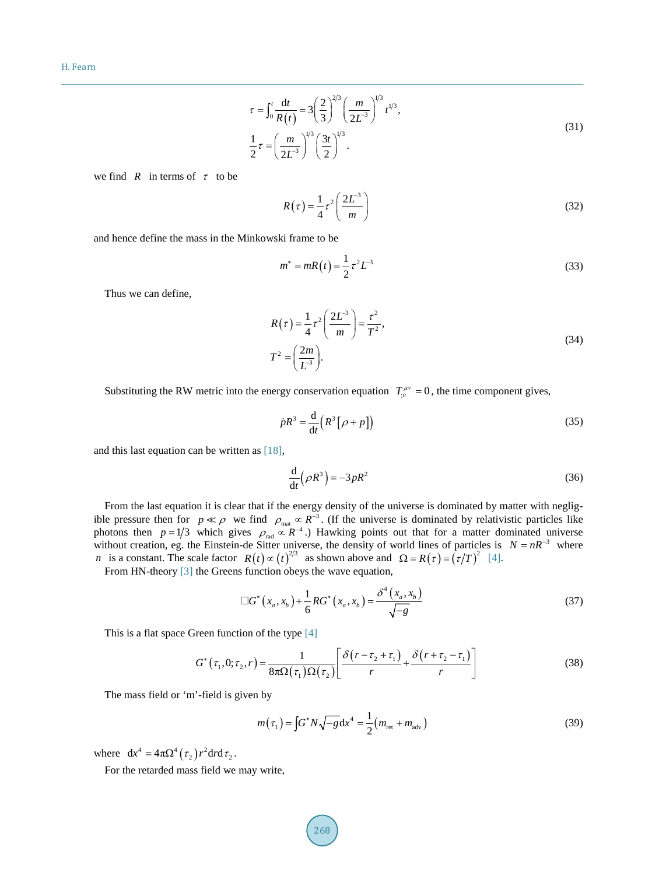$$
\tau = \int_0^t \frac{dt}{R(t)} = 3\left(\frac{2}{3}\right)^{2/3} \left(\frac{m}{2L^{-3}}\right)^{1/3} t^{1/3},
$$
  
\n
$$
\frac{1}{2}\tau = \left(\frac{m}{2L^{-3}}\right)^{1/3} \left(\frac{3t}{2}\right)^{1/3}.
$$
\n(31)

we find *R* in terms of  $\tau$  to be

$$
R(\tau) = \frac{1}{4} \tau^2 \left(\frac{2L^{-3}}{m}\right) \tag{32}
$$

and hence define the mass in the Minkowski frame to be

$$
m^* = mR(t) = \frac{1}{2}\tau^2 L^{-3}
$$
\n(33)

Thus we can define,

$$
R(\tau) = \frac{1}{4} \tau^2 \left( \frac{2L^{-3}}{m} \right) = \frac{\tau^2}{T^2},
$$
  
\n
$$
T^2 = \left( \frac{2m}{L^{-3}} \right).
$$
\n(34)

Substituting the RW metric into the energy conservation equation  $T_{\mu\nu}^{\mu\nu} = 0$ , the time component gives,

$$
\dot{p}R^3 = \frac{\mathrm{d}}{\mathrm{d}t} \left( R^3 \left[ \rho + p \right] \right) \tag{35}
$$

and this last equation can be written as [\[18\],](#page-12-6)

$$
\frac{\mathrm{d}}{\mathrm{d}t} \left( \rho R^3 \right) = -3 \, pR^2 \tag{36}
$$

From the last equation it is clear that if the energy density of the universe is dominated by matter with negligible pressure then for  $p \ll \rho$  we find  $\rho_{\text{mat}} \propto R^{-3}$ . (If the universe is dominated by relativistic particles like photons then *p* = 1/3 which gives  $\rho_{rad} \propto R^{-4}$ .) Hawking points out that for a matter dominated universe without creation, eg. the Einstein-de Sitter universe, the density of world lines of particles is  $N = nR^{-3}$  where *n* is a constant. The scale factor  $R(t) \propto (t)^{2/3}$  as shown above and  $\Omega = R(\tau) = (\tau/T)^2$  [\[4\].](#page-11-2)

From HN-theor[y \[3\]](#page-11-1) the Greens function obeys the wave equation,

$$
\Box G^*(x_a, x_b) + \frac{1}{6}RG^*(x_a, x_b) = \frac{\delta^4(x_a, x_b)}{\sqrt{-g}}
$$
(37)

This is a flat space Green function of the type [\[4\]](#page-11-2)

$$
G^*\left(\tau_1, 0; \tau_2, r\right) = \frac{1}{8\pi\Omega\left(\tau_1\right)\Omega\left(\tau_2\right)} \left[\frac{\delta\left(r - \tau_2 + \tau_1\right)}{r} + \frac{\delta\left(r + \tau_2 - \tau_1\right)}{r}\right] \tag{38}
$$

The mass field or 'm'-field is given by

$$
m(\tau_1) = \int G^* N \sqrt{-g} \, dx^4 = \frac{1}{2} (m_{\text{ret}} + m_{\text{adv}})
$$
 (39)

where  $dx^4 = 4\pi \Omega^4 (\tau_2) r^2 dr d\tau_2$ .

For the retarded mass field we may write,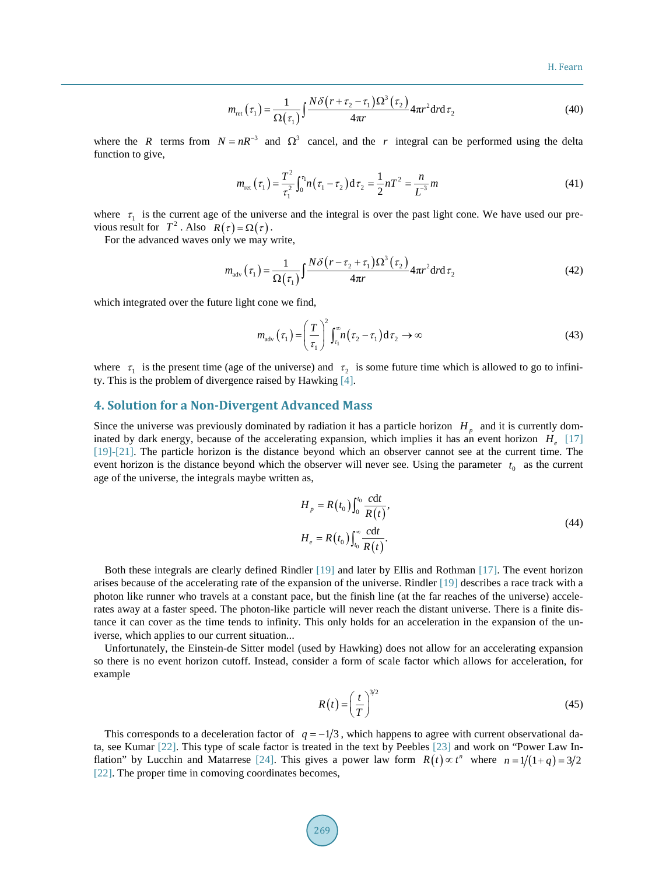H. Fearn

$$
m_{\text{ret}}\left(\tau_{1}\right) = \frac{1}{\Omega\left(\tau_{1}\right)} \int \frac{N\delta\left(r + \tau_{2} - \tau_{1}\right)\Omega^{3}\left(\tau_{2}\right)}{4\pi r} 4\pi r^{2} \text{d}r \text{d}\tau_{2}
$$
\n
$$
\tag{40}
$$

where the *R* terms from  $N = nR^{-3}$  and  $\Omega^3$  cancel, and the *r* integral can be performed using the delta function to give,

$$
m_{\text{ret}}\left(\tau_{1}\right) = \frac{T^{2}}{\tau_{1}^{2}} \int_{0}^{\tau_{1}} n\left(\tau_{1} - \tau_{2}\right) \mathrm{d}\,\tau_{2} = \frac{1}{2} nT^{2} = \frac{n}{L^{3}} m \tag{41}
$$

where  $\tau_1$  is the current age of the universe and the integral is over the past light cone. We have used our previous result for  $T^2$ . Also  $R(\tau) = \Omega(\tau)$ .

For the advanced waves only we may write,

$$
m_{\text{adv}}\left(\tau_{1}\right) = \frac{1}{\Omega\left(\tau_{1}\right)} \int \frac{N \delta\left(r - \tau_{2} + \tau_{1}\right) \Omega^{3}\left(\tau_{2}\right)}{4\pi r} 4\pi r^{2} \text{d}r \text{d}\tau_{2}
$$
\n(42)

which integrated over the future light cone we find,

$$
m_{\text{adv}}\left(\tau_{1}\right) = \left(\frac{T}{\tau_{1}}\right)^{2} \int_{\tau_{1}}^{\infty} n\left(\tau_{2} - \tau_{1}\right) \mathrm{d}\tau_{2} \to \infty \tag{43}
$$

where  $\tau_1$  is the present time (age of the universe) and  $\tau_2$  is some future time which is allowed to go to infinity. This is the problem of divergence raised by Hawking [\[4\].](#page-11-2)

## **4. Solution for a Non-Divergent Advanced Mass**

Since the universe was previously dominated by radiation it has a particle horizon  $H_p$  and it is currently dominated by dark energy, because of the accelerating expansion, which implies it has an event horizon  $H_{\text{e}}$  [\[17\]](#page-12-5) [\[19\]](#page-12-7)[-\[21\].](#page-12-8) The particle horizon is the distance beyond which an observer cannot see at the current time. The event horizon is the distance beyond which the observer will never see. Using the parameter  $t_0$  as the current age of the universe, the integrals maybe written as,

$$
H_p = R(t_0) \int_0^{t_0} \frac{\text{cdt}}{R(t)},
$$
  
\n
$$
H_e = R(t_0) \int_{t_0}^{\infty} \frac{\text{cdt}}{R(t)}.
$$
\n(44)

Both these integrals are clearly defined Rindler [\[19\]](#page-12-7) and later by Ellis and Rothman [\[17\].](#page-12-5) The event horizon arises because of the accelerating rate of the expansion of the universe. Rindler [\[19\]](#page-12-7) describes a race track with a photon like runner who travels at a constant pace, but the finish line (at the far reaches of the universe) accelerates away at a faster speed. The photon-like particle will never reach the distant universe. There is a finite distance it can cover as the time tends to infinity. This only holds for an acceleration in the expansion of the universe, which applies to our current situation...

Unfortunately, the Einstein-de Sitter model (used by Hawking) does not allow for an accelerating expansion so there is no event horizon cutoff. Instead, consider a form of scale factor which allows for acceleration, for example

$$
R(t) = \left(\frac{t}{T}\right)^{3/2} \tag{45}
$$

This corresponds to a deceleration factor of  $q = -1/3$ , which happens to agree with current observational data, see Kumar [\[22\].](#page-12-9) This type of scale factor is treated in the text by Peebles [\[23\]](#page-12-10) and work on "Power Law In-flation" by Lucchin and Matarrese [\[24\].](#page-12-11) This gives a power law form  $R(t) \propto t^n$  where  $n = 1/(1+q) = 3/2$ [\[22\].](#page-12-9) The proper time in comoving coordinates becomes,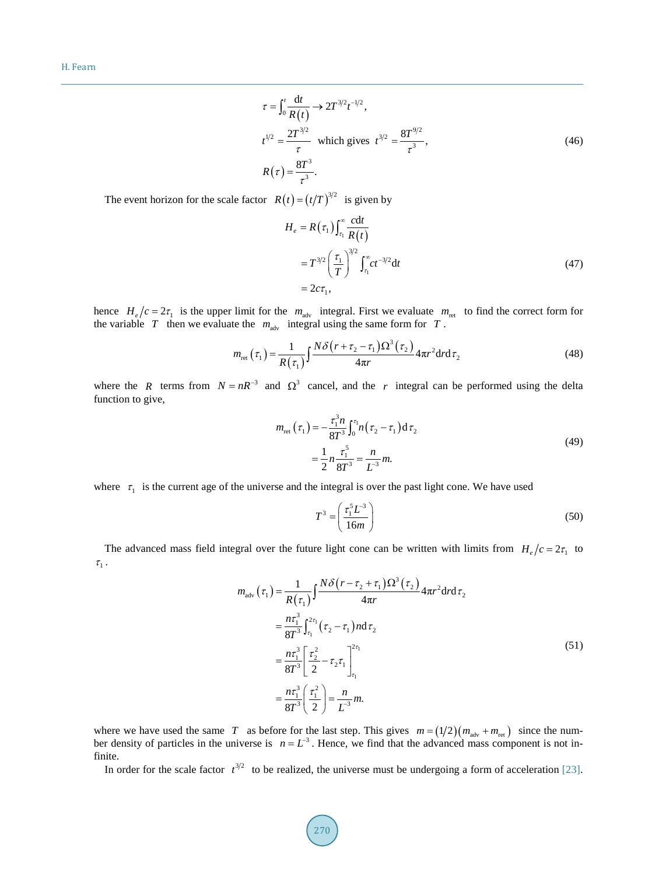$$
\tau = \int_0^t \frac{dt}{R(t)} \to 2T^{3/2} t^{-1/2},
$$
  
\n
$$
t^{1/2} = \frac{2T^{3/2}}{\tau} \text{ which gives } t^{3/2} = \frac{8T^{9/2}}{\tau^3},
$$
  
\n
$$
R(\tau) = \frac{8T^3}{\tau^3}.
$$
\n(46)

The event horizon for the scale factor  $R(t) = (t/T)^{3/2}$  is given by

$$
H_e = R(\tau_1) \int_{\tau_1}^{\infty} \frac{cdt}{R(t)}
$$
  
=  $T^{3/2} \left(\frac{\tau_1}{T}\right)^{3/2} \int_{\tau_1}^{\infty} ct^{-3/2} dt$   
=  $2c\tau_1$ , (47)

hence  $H_e/c = 2\tau_1$  is the upper limit for the  $m_{\text{adv}}$  integral. First we evaluate  $m_{\text{ret}}$  to find the correct form for the variable  $T$  then we evaluate the  $m_{adv}$  integral using the same form for  $T$ .

$$
m_{\text{ret}}\left(\tau_{1}\right) = \frac{1}{R\left(\tau_{1}\right)} \int \frac{N\delta\left(r+\tau_{2}-\tau_{1}\right)\Omega^{3}\left(\tau_{2}\right)}{4\pi r} 4\pi r^{2} \text{d}r \text{d}\tau_{2}
$$
\n(48)

where the *R* terms from  $N = nR^{-3}$  and  $\Omega^3$  cancel, and the *r* integral can be performed using the delta function to give,

$$
m_{\text{ret}}\left(\tau_{1}\right) = -\frac{\tau_{1}^{3} n}{8T^{3}} \int_{0}^{\tau_{1}} n\left(\tau_{2} - \tau_{1}\right) d\tau_{2}
$$
\n
$$
= \frac{1}{2} n \frac{\tau_{1}^{5}}{8T^{3}} = \frac{n}{L^{3}} m. \tag{49}
$$

where  $\tau_1$  is the current age of the universe and the integral is over the past light cone. We have used

$$
T^3 = \left(\frac{\tau_1^5 L^3}{16m}\right) \tag{50}
$$

The advanced mass field integral over the future light cone can be written with limits from  $H_e/c = 2\tau_1$  to  $\tau_1$ .

$$
m_{\text{adv}}(\tau_1) = \frac{1}{R(\tau_1)} \int \frac{N \delta (r - \tau_2 + \tau_1) \Omega^3(\tau_2)}{4\pi r} 4\pi r^2 dr d\tau_2
$$
  
\n
$$
= \frac{n\tau_1^3}{8T^3} \int_{\tau_1}^{2\tau_1} (\tau_2 - \tau_1) n d\tau_2
$$
  
\n
$$
= \frac{n\tau_1^3}{8T^3} \left[ \frac{\tau_2^2}{2} - \tau_2 \tau_1 \right]_{\tau_1}^{2\tau_1}
$$
  
\n
$$
= \frac{n\tau_1^3}{8T^3} \left( \frac{\tau_1^2}{2} \right) = \frac{n}{L^3} m.
$$
 (51)

where we have used the same *T* as before for the last step. This gives  $m = (1/2)(m_{\text{adv}} + m_{\text{ret}})$  since the number density of particles in the universe is  $n = L<sup>3</sup>$ . Hence, we find that the advanced mass component is not infinite.

In order for the scale factor  $t^{3/2}$  to be realized, the universe must be undergoing a form of acceleration [\[23\].](#page-12-10)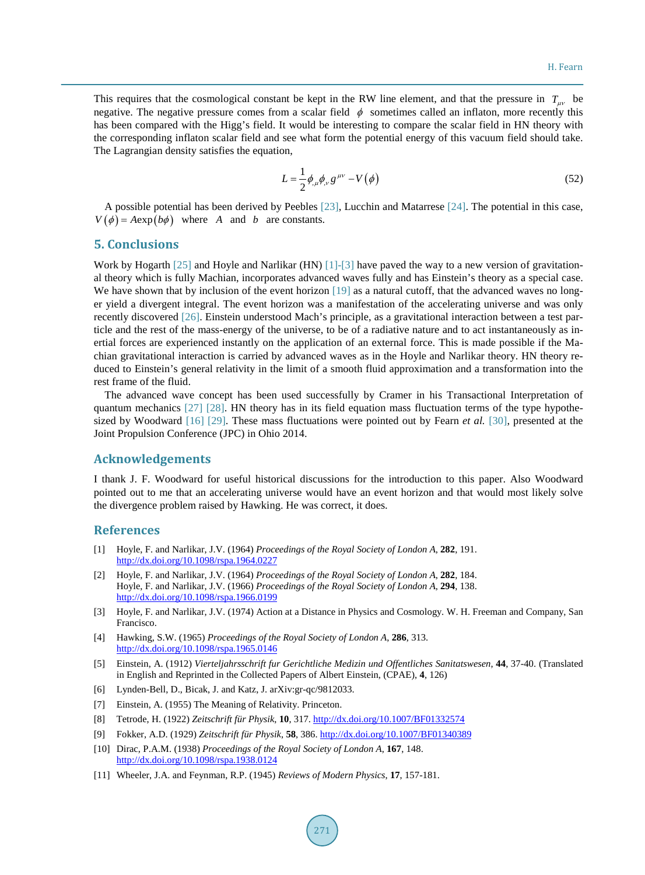This requires that the cosmological constant be kept in the RW line element, and that the pressure in  $T_{uv}$  be negative. The negative pressure comes from a scalar field  $\phi$  sometimes called an inflaton, more recently this has been compared with the Higg's field. It would be interesting to compare the scalar field in HN theory with the corresponding inflaton scalar field and see what form the potential energy of this vacuum field should take. The Lagrangian density satisfies the equation,

$$
L = \frac{1}{2} \phi_{,\mu} \phi_{,\nu} g^{\mu\nu} - V(\phi)
$$
\n(52)

A possible potential has been derived by Peebles [\[23\],](#page-12-10) Lucchin and Matarrese [\[24\].](#page-12-11) The potential in this case,  $V(\phi) = A \exp(b\phi)$  where *A* and *b* are constants.

# **5. Conclusions**

Work by Hogarth [\[25\]](#page-12-12) and Hoyle and Narlikar (HN) [\[1\]](#page-11-0)[-\[3\]](#page-11-1) have paved the way to a new version of gravitational theory which is fully Machian, incorporates advanced waves fully and has Einstein's theory as a special case. We have shown that by inclusion of the event horizon [\[19\]](#page-12-7) as a natural cutoff, that the advanced waves no longer yield a divergent integral. The event horizon was a manifestation of the accelerating universe and was only recently discovered [\[26\].](#page-12-13) Einstein understood Mach's principle, as a gravitational interaction between a test particle and the rest of the mass-energy of the universe, to be of a radiative nature and to act instantaneously as inertial forces are experienced instantly on the application of an external force. This is made possible if the Machian gravitational interaction is carried by advanced waves as in the Hoyle and Narlikar theory. HN theory reduced to Einstein's general relativity in the limit of a smooth fluid approximation and a transformation into the rest frame of the fluid.

The advanced wave concept has been used successfully by Cramer in his Transactional Interpretation of quantum mechanics [\[27\]](#page-12-14) [\[28\].](#page-12-15) HN theory has in its field equation mass fluctuation terms of the type hypothesized by Woodward [\[16\]](#page-12-4) [\[29\].](#page-12-16) These mass fluctuations were pointed out by Fearn *et al.* [\[30\],](#page-12-17) presented at the Joint Propulsion Conference (JPC) in Ohio 2014.

### **Acknowledgements**

I thank J. F. Woodward for useful historical discussions for the introduction to this paper. Also Woodward pointed out to me that an accelerating universe would have an event horizon and that would most likely solve the divergence problem raised by Hawking. He was correct, it does.

#### **References**

- <span id="page-11-0"></span>[1] Hoyle, F. and Narlikar, J.V. (1964) *Proceedings of the Royal Society of London A*, **282**, 191. <http://dx.doi.org/10.1098/rspa.1964.0227>
- [2] Hoyle, F. and Narlikar, J.V. (1964) *Proceedings of the Royal Society of London A*, **282**, 184. Hoyle, F. and Narlikar, J.V. (1966) *Proceedings of the Royal Society of London A*, **294**, 138. <http://dx.doi.org/10.1098/rspa.1966.0199>
- <span id="page-11-1"></span>[3] Hoyle, F. and Narlikar, J.V. (1974) Action at a Distance in Physics and Cosmology. W. H. Freeman and Company, San Francisco.
- <span id="page-11-2"></span>[4] Hawking, S.W. (1965) *Proceedings of the Royal Society of London A*, **286**, 313. <http://dx.doi.org/10.1098/rspa.1965.0146>
- <span id="page-11-3"></span>[5] Einstein, A. (1912) *Vierteljahrsschrift fur Gerichtliche Medizin und Offentliches Sanitatswesen*, **44**, 37-40. (Translated in English and Reprinted in the Collected Papers of Albert Einstein, (CPAE), **4**, 126)
- <span id="page-11-4"></span>[6] Lynden-Bell, D., Bicak, J. and Katz, J. arXiv:gr-qc/9812033.
- <span id="page-11-5"></span>[7] Einstein, A. (1955) The Meaning of Relativity. Princeton.
- <span id="page-11-6"></span>[8] Tetrode, H. (1922) *Zeitschrift für Physik*, **10**, 317. <http://dx.doi.org/10.1007/BF01332574>
- <span id="page-11-7"></span>[9] Fokker, A.D. (1929) *Zeitschrift für Physik*, **58**, 386. <http://dx.doi.org/10.1007/BF01340389>
- <span id="page-11-8"></span>[10] Dirac, P.A.M. (1938) *Proceedings of the Royal Society of London A*, **167**, 148. <http://dx.doi.org/10.1098/rspa.1938.0124>
- <span id="page-11-9"></span>[11] Wheeler, J.A. and Feynman, R.P. (1945) *Reviews of Modern Physics*, **17**, 157-181.